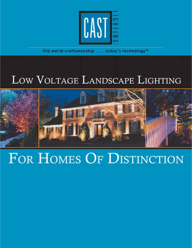

Old world craftsmanship . . . today's technology™

### LOW VOLTAGE LANDSCAPE LIGHTING



## FOR HOMES OF DISTINCTION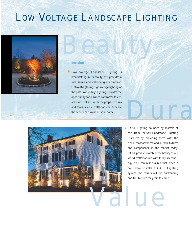### LOW VOLTAGE LANDSCAPE LIGHTING

Beauty





**Introduction**

 Low Voltage Landscape Lighting is breathtaking in its beauty and provides a safe, secure and welcoming environment. Unlike the glaring high voltage lighting of the past, low voltage lighting provides the opportunity for a skilled contractor to create a work of art. With the proper fixtures and tools, such a craftsman can enhance the beauty and value of your home.



CAST Lighting, founded by masters of this trade, serves Landscape Lighting Installers by providing them with the finest, most advanced and durable fixtures and components on the market today. CAST products combine the beauty of old world craftsmanship with today's technology. You can rest assured that when a contractor installs a CAST Lighting system, the results will be outstanding and trouble-free for years to come.  $\blacktriangleright$ 

Dura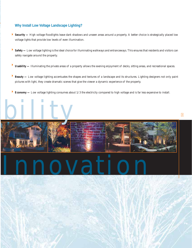### **Why Install Low Voltage Landscape Lighting?**

- Security High voltage floodlights leave dark shadows and unseen areas around a property. A better choice is strategically placed low voltage lights that provide low levels of even illumination. Þ
- Safety Low voltage lighting is the ideal choice for illuminating walkways and entranceways. This ensures that residents and visitors can safely navigate around the property. Þ,
- Usability Illuminating the private areas of a property allows the evening enjoyment of decks, sitting areas, and recreational spaces. Þ
- Beauty Low voltage lighting accentuates the shapes and textures of a landscape and its structures. Lighting designers not only paint pictures with light, they create dramatic scenes that give the viewer a dynamic experience of the property. þ
- Economy Low voltage lighting consumes about 1/3 the electricity compared to high voltage and is far less expensive to install. Þ

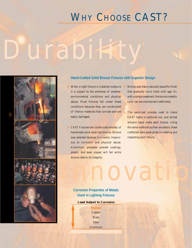### WHY CHOOSE CAST?

## Durabi<del>lity</del>



#### **Hand-Crafted Solid Bronze Fixtures with Superior Design**

Innovatio

- When a light fixture is installed outdoors it is subject to the extremes of weather, environmental conditions and physical abuse. Most fixtures fail under these conditions because they are constructed of inferior materials that corrode and are easily damaged.
- CAST Fixtures are constructed entirely of handmade solid sand-cast bronze. Bronze was selected because it is nearly impervious to corrosion and physical abuse. Aluminum, polyester powder coatings, plastic, and even copper will fail while bronze retains its integrity.
- Bronze also has a naturally beautiful finish that gradually turns Verdi with age. Or, with a simple treatment, the bronze metallic color can be maintained indefinitely.  $\blacktriangleright$
- The sand-cast process used to make CAST lights is centuries old, and skilled artisans hand make each fixture. Using the same methods as their ancestors, these craftsmen take great pride in creating and inspecting each fixture.  $\blacktriangleright$

### **Corrosion Properties of Metals Used in Lighting Fixtures**

#### Least Subject to Corrosion

**Bronze** Copper Brass Steel Aluminum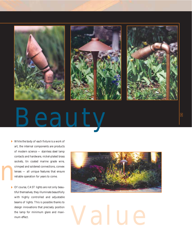

## Beau

- While the body of each fixture is a work of art, the internal components are products of modern science — stainless steel lamp contacts and hardware, nickel-plated brass sockets, tin coated marine grade wire, crimped and soldered connections, convex lenses — all unique features that ensure reliable operation for years to come. n
	- Of course, CAST lights are not only beau tiful themselves, they illuminate beautifully with highly controlled and adjustable beams of lights. This is possible thanks to design innovations that precisely position the lamp for minimum glare and maxi-



4

## the lamp for minimum glare and maximum effect.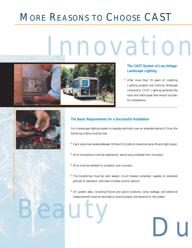### MORE REASONS TO CHOOSE CAST

## Innovation



### **The CAST System of Low Voltage Landscape Lighting**

After more than 15 years of installing Lighting projects and training landscape contractors, CAST Lighting perfected the tools and techniques that ensure successful installations.

 $\mathbf D$ 



5

### **The Basic Requirements for a Successful Installation**

For a landscape lighting system to operate optimally over an extended period of time, the following criteria must be met:

- Each lamp must receive between 10.8 and 12.0 volts to maximize lamp life and light output.
- Wire connections must be waterproof, secure and protected from corrosion.
- Wire must be resistant to oxidation and corrosion.
- The transformer must be resin sealed, circuit breaker protected, capable of extended periods of operation, and have limitless control options.
- All system data, including fixture and splice locations, lamp wattage, and electrical measurements must be recorded to ensure proper maintenance of the system.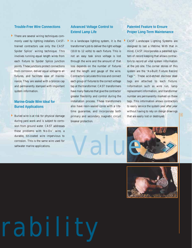#### **Trouble-Free Wire Connections**

There are several wiring techniques commonly used by lighting installers. CASTtrained contractors use only the CAST Spider Splice™ wiring technique. This involves running equal length wires from each fixture to Spider Splice junction points. These junctions protect connections from corrosion, deliver equal voltage to all fixtures, and facilitate ease of maintenance. They are sealed with a bronze cap and permanently stamped with important system information.  $\blacktriangleright$ 

### **Marine-Grade Wire Ideal for Buried Applications**

Buried wire is at risk for physical damage during yard work and is subject to corrosion from ground water. CAST addresses these problems with No-Ox™ wire, a durable, tin-coated wire impervious to corrosion. This is the same wire used for saltwater marine applications.  $\blacktriangleright$ 

### **Advanced Voltage Control to Extend Lamp Life**

In a landscape lighting system, it is the transformer's job to deliver the right voltage (10.8 to 12 volts) to each fixture. This is not an easy task since voltage is lost through the wire and the amount of that loss depends on the number of fixtures and the length and gauge of the wire. Contractors calculate this loss and connect each group of fixtures to the correct voltage tap at the transformer. CAST transformers have many features that give the contractor greater flexibility and control during the installation process. These transformers also have resin-sealed cores with a lifetime guarantee, and incorporate both primary and secondary magnetic circuit breaker protection.

### **Patented Feature to Ensure Proper Long-Term Maintenance**

CAST Landscape Lighting Systems are designed to last a lifetime. With that in mind, CAST incorporates a patented system of record keeping that allows contractors to record all vital system information at the job site. The corner stones of this system are the "As-Built Fixture Record Tags™". These acid-etched stainless steel tags are attached to each fixture. Information such as wire run, lamp replacement information, and transformer number are permanently marked on these tags. This information allows contractors to easily service the system year after year without having to rely on design drawings that are easily lost or destroyed.



6



# rability